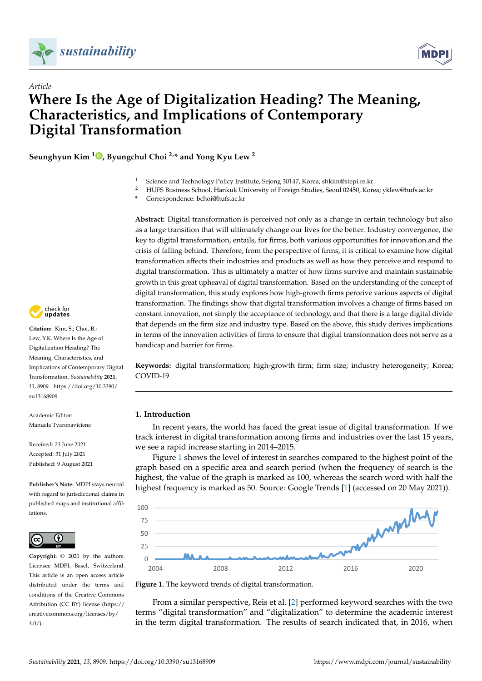



## *Article* **Where Is the Age of Digitalization Heading? The Meaning, Characteristics, and Implications of Contemporary Digital Transformation Transformation**  *Article* **Characteristics, and Implications of Contemporary Digital Characteristics**

**Seunghyun Kim <sup>1</sup> , Byungchul Choi 2,\* and Yong Kyu Lew <sup>2</sup> Seunghyun Kim 1, [By](https://orcid.org/0000-0002-6633-5378)ungchul Choi 2,\* and Yongkyu Lew 2**

- <sup>1</sup> Science and Technology Policy Institute, Sejong 30147, Korea; shkim@stepi.re.kr 1 Science and Technology Policy Institute, Sejong 30147, Korea; shkim@stepi.re.kr <sup>2</sup> Science and Technology Policy Institute, Sejong 30147, Korea; shkim@stepi.re.kr
- <sup>2</sup> HUFS Business School, Hankuk University of Foreign Studies, Seoul 02450, Korea; yklew@hufs.ac.kr
- **\*** Correspondence: bchoi@hufs.ac.kr

Abstract: Digital transformation is perceived not only as a change in certain technology but also as a large transition that will ultimately change our lives for the better. Industry convergence, the key to digital transformation, entails, for firms, both various opportunities for innovation and the crisis of falling behind. Therefore, from the perspective of firms, it is critical to examine how digital transformation affects their industries and products as well as how they perceive and respond to digital transformation. This is ultimately a matter of how firms survive and maintain sustainable growth in this great upheaval of digital transformation. Based on the understanding of the concept of digital transformation, this study explores how high-growth firms perceive various aspects of digital transformation. The findings show that digital transformation involves a change of firms based on constant innovation, not simply the acceptance of technology, and that there is a large digital divide that depends on the firm size and industry type. Based on the above, this study derives implications in terms of the innovation activities of firms to ensure that digital transformation does not serve as a handicap and barrier for firms.

Keywords: digital transformation; high-growth firm; firm size; industry heterogeneity; Korea; COVID-19

# **1. Introduction 1. Introduction**

In recent years, the world has faced the great issue of digital transformation. If we In recent years, the world has faced the great issue of digital transformation. If we track interest in digital transformation among firms and industries over the last 15 years, track interest in digital transformation among firms and industries over the last 15 years, we see a rapid increase starting in 2014–2015. we see a rapid increase starting in 2014–2015.

Figure [1](#page-0-0) shows the level of interest in searches compared to the highest point of the graph based on a specific area and search period (when the frequency of search is the graph based on a specific area and search period (when the frequency of search is the highest, the value of the graph is marked as 100, whereas the search word with half the highest, the value of the graph is marked as 100, whereas the search word with half the highest frequency is marked as 50. Source: Google Trends [\[1\]](#page-17-0) (accessed on 20 May 2021)). highest frequency is marked as 50. Source: Google Trends [1] (accessed on 20 May 2021)).

<span id="page-0-0"></span>

**Figure 1.** The keyword trends of digital transformation. **Figure 1.** The keyword trends of digital transformation.

From a similar perspective, Reis et al. [\[2\]](#page-17-1) performed keyword searches with the two terms "digital transformation" and "digitalization" to determine the academic interest in the term digital transformation. The results of search indicated that, in 2016, when



**Citation:** Kim, S.; Choi, B.; Lew, Y.K. Where Is the Age of Digitalization Heading? The Meaning, Characteristics, and Implications of Contemporary Digital Transformation. Sustainability 2021, 13, 8909. [https://doi.org/10.3390/](https://doi.org/10.3390/su13168909) [su13168909](https://doi.org/10.3390/su13168909)

Academic Editor: Manuela Tvaronaviciene Tvaronaviciene

Received: 23 June 2021 Received: 23 June 2021 Accepted: 31 July 2021 Accepted: 31 July 2021 Published: 9 August 2021 Published: 9 August 2021

**Publisher's Note:** MDPI stays neutral with regard to jurisdictional claims in  $\overline{\phantom{a}}$  published maps and institutional affiltions.



**Copyright:** © 2021 by the authors. Licensee MDPI, Basel, Switzerland. This article is an open access article distributed under the terms and conditions of the Creative Commons. Attribution (CC BY) license (https:/[/](https://creativecommons.org/licenses/by/4.0/) [creativecommons.org/licenses/by/](https://creativecommons.org/licenses/by/4.0/)  $4.0/$ ).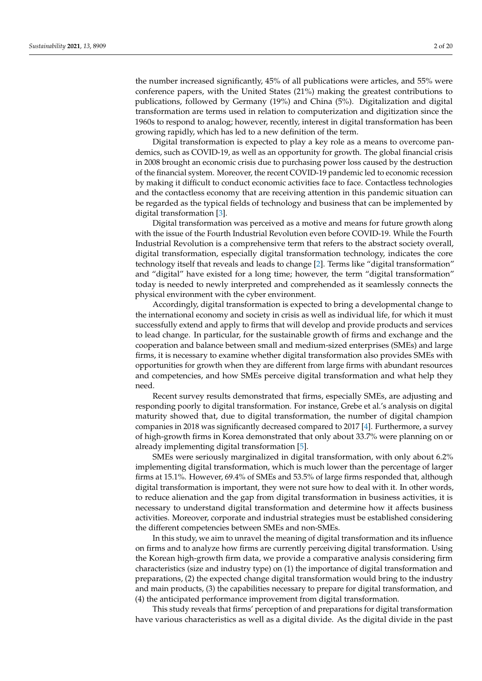the number increased significantly, 45% of all publications were articles, and 55% were conference papers, with the United States (21%) making the greatest contributions to publications, followed by Germany (19%) and China (5%). Digitalization and digital transformation are terms used in relation to computerization and digitization since the 1960s to respond to analog; however, recently, interest in digital transformation has been growing rapidly, which has led to a new definition of the term.

Digital transformation is expected to play a key role as a means to overcome pandemics, such as COVID-19, as well as an opportunity for growth. The global financial crisis in 2008 brought an economic crisis due to purchasing power loss caused by the destruction of the financial system. Moreover, the recent COVID-19 pandemic led to economic recession by making it difficult to conduct economic activities face to face. Contactless technologies and the contactless economy that are receiving attention in this pandemic situation can be regarded as the typical fields of technology and business that can be implemented by digital transformation [\[3\]](#page-17-2).

Digital transformation was perceived as a motive and means for future growth along with the issue of the Fourth Industrial Revolution even before COVID-19. While the Fourth Industrial Revolution is a comprehensive term that refers to the abstract society overall, digital transformation, especially digital transformation technology, indicates the core technology itself that reveals and leads to change [\[2\]](#page-17-1). Terms like "digital transformation" and "digital" have existed for a long time; however, the term "digital transformation" today is needed to newly interpreted and comprehended as it seamlessly connects the physical environment with the cyber environment.

Accordingly, digital transformation is expected to bring a developmental change to the international economy and society in crisis as well as individual life, for which it must successfully extend and apply to firms that will develop and provide products and services to lead change. In particular, for the sustainable growth of firms and exchange and the cooperation and balance between small and medium-sized enterprises (SMEs) and large firms, it is necessary to examine whether digital transformation also provides SMEs with opportunities for growth when they are different from large firms with abundant resources and competencies, and how SMEs perceive digital transformation and what help they need.

Recent survey results demonstrated that firms, especially SMEs, are adjusting and responding poorly to digital transformation. For instance, Grebe et al.'s analysis on digital maturity showed that, due to digital transformation, the number of digital champion companies in 2018 was significantly decreased compared to 2017 [\[4\]](#page-17-3). Furthermore, a survey of high-growth firms in Korea demonstrated that only about 33.7% were planning on or already implementing digital transformation [\[5\]](#page-17-4).

SMEs were seriously marginalized in digital transformation, with only about 6.2% implementing digital transformation, which is much lower than the percentage of larger firms at 15.1%. However, 69.4% of SMEs and 53.5% of large firms responded that, although digital transformation is important, they were not sure how to deal with it. In other words, to reduce alienation and the gap from digital transformation in business activities, it is necessary to understand digital transformation and determine how it affects business activities. Moreover, corporate and industrial strategies must be established considering the different competencies between SMEs and non-SMEs.

In this study, we aim to unravel the meaning of digital transformation and its influence on firms and to analyze how firms are currently perceiving digital transformation. Using the Korean high-growth firm data, we provide a comparative analysis considering firm characteristics (size and industry type) on (1) the importance of digital transformation and preparations, (2) the expected change digital transformation would bring to the industry and main products, (3) the capabilities necessary to prepare for digital transformation, and (4) the anticipated performance improvement from digital transformation.

This study reveals that firms' perception of and preparations for digital transformation have various characteristics as well as a digital divide. As the digital divide in the past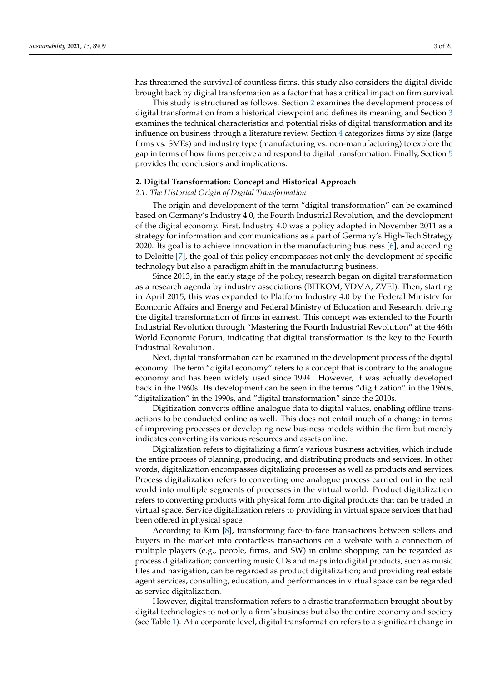has threatened the survival of countless firms, this study also considers the digital divide brought back by digital transformation as a factor that has a critical impact on firm survival.

This study is structured as follows. Section [2](#page-2-0) examines the development process of digital transformation from a historical viewpoint and defines its meaning, and Section [3](#page-5-0) examines the technical characteristics and potential risks of digital transformation and its influence on business through a literature review. Section [4](#page-8-0) categorizes firms by size (large firms vs. SMEs) and industry type (manufacturing vs. non-manufacturing) to explore the gap in terms of how firms perceive and respond to digital transformation. Finally, Section [5](#page-14-0) provides the conclusions and implications.

#### <span id="page-2-0"></span>**2. Digital Transformation: Concept and Historical Approach**

## *2.1. The Historical Origin of Digital Transformation*

The origin and development of the term "digital transformation" can be examined based on Germany's Industry 4.0, the Fourth Industrial Revolution, and the development of the digital economy. First, Industry 4.0 was a policy adopted in November 2011 as a strategy for information and communications as a part of Germany's High-Tech Strategy 2020. Its goal is to achieve innovation in the manufacturing business [\[6\]](#page-17-5), and according to Deloitte [\[7\]](#page-17-6), the goal of this policy encompasses not only the development of specific technology but also a paradigm shift in the manufacturing business.

Since 2013, in the early stage of the policy, research began on digital transformation as a research agenda by industry associations (BITKOM, VDMA, ZVEI). Then, starting in April 2015, this was expanded to Platform Industry 4.0 by the Federal Ministry for Economic Affairs and Energy and Federal Ministry of Education and Research, driving the digital transformation of firms in earnest. This concept was extended to the Fourth Industrial Revolution through "Mastering the Fourth Industrial Revolution" at the 46th World Economic Forum, indicating that digital transformation is the key to the Fourth Industrial Revolution.

Next, digital transformation can be examined in the development process of the digital economy. The term "digital economy" refers to a concept that is contrary to the analogue economy and has been widely used since 1994. However, it was actually developed back in the 1960s. Its development can be seen in the terms "digitization" in the 1960s, "digitalization" in the 1990s, and "digital transformation" since the 2010s.

Digitization converts offline analogue data to digital values, enabling offline transactions to be conducted online as well. This does not entail much of a change in terms of improving processes or developing new business models within the firm but merely indicates converting its various resources and assets online.

Digitalization refers to digitalizing a firm's various business activities, which include the entire process of planning, producing, and distributing products and services. In other words, digitalization encompasses digitalizing processes as well as products and services. Process digitalization refers to converting one analogue process carried out in the real world into multiple segments of processes in the virtual world. Product digitalization refers to converting products with physical form into digital products that can be traded in virtual space. Service digitalization refers to providing in virtual space services that had been offered in physical space.

According to Kim [\[8\]](#page-17-7), transforming face-to-face transactions between sellers and buyers in the market into contactless transactions on a website with a connection of multiple players (e.g., people, firms, and SW) in online shopping can be regarded as process digitalization; converting music CDs and maps into digital products, such as music files and navigation, can be regarded as product digitalization; and providing real estate agent services, consulting, education, and performances in virtual space can be regarded as service digitalization.

However, digital transformation refers to a drastic transformation brought about by digital technologies to not only a firm's business but also the entire economy and society (see Table [1\)](#page-3-0). At a corporate level, digital transformation refers to a significant change in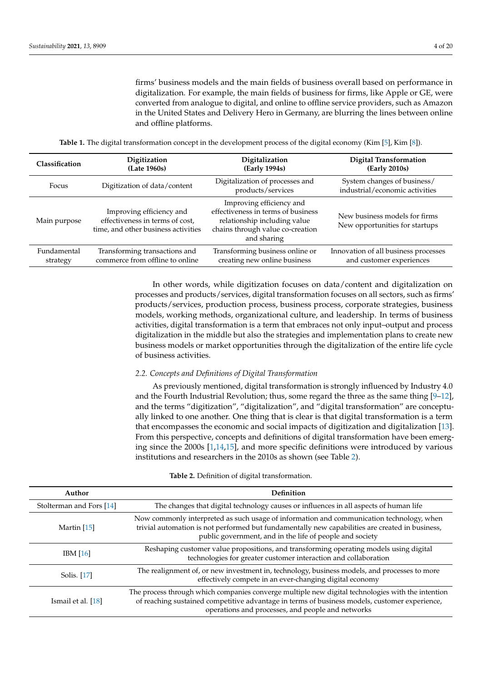firms' business models and the main fields of business overall based on performance in digitalization. For example, the main fields of business for firms, like Apple or GE, were converted from analogue to digital, and online to offline service providers, such as Amazon in the United States and Delivery Hero in Germany, are blurring the lines between online and offline platforms.

**Table 1.** The digital transformation concept in the development process of the digital economy (Kim [\[5\]](#page-17-4), Kim [\[8\]](#page-17-7)).

<span id="page-3-0"></span>

| Classification | Digitization                                                                                       | Digitalization                                                                                                                                    | <b>Digital Transformation</b>                                   |
|----------------|----------------------------------------------------------------------------------------------------|---------------------------------------------------------------------------------------------------------------------------------------------------|-----------------------------------------------------------------|
|                | (Late 1960s)                                                                                       | (Early 1994s)                                                                                                                                     | (Early 2010s)                                                   |
| Focus          | Digitization of data/content                                                                       | Digitalization of processes and<br>products/services                                                                                              | System changes of business/<br>industrial/economic activities   |
| Main purpose   | Improving efficiency and<br>effectiveness in terms of cost,<br>time, and other business activities | Improving efficiency and<br>effectiveness in terms of business<br>relationship including value<br>chains through value co-creation<br>and sharing | New business models for firms<br>New opportunities for startups |
| Fundamental    | Transforming transactions and                                                                      | Transforming business online or                                                                                                                   | Innovation of all business processes                            |
| strategy       | commerce from offline to online                                                                    | creating new online business                                                                                                                      | and customer experiences                                        |

In other words, while digitization focuses on data/content and digitalization on processes and products/services, digital transformation focuses on all sectors, such as firms' products/services, production process, business process, corporate strategies, business models, working methods, organizational culture, and leadership. In terms of business activities, digital transformation is a term that embraces not only input–output and process digitalization in the middle but also the strategies and implementation plans to create new business models or market opportunities through the digitalization of the entire life cycle of business activities.

## *2.2. Concepts and Definitions of Digital Transformation*

As previously mentioned, digital transformation is strongly influenced by Industry 4.0 and the Fourth Industrial Revolution; thus, some regard the three as the same thing  $[9-12]$  $[9-12]$ , and the terms "digitization", "digitalization", and "digital transformation" are conceptually linked to one another. One thing that is clear is that digital transformation is a term that encompasses the economic and social impacts of digitization and digitalization [\[13\]](#page-18-2). From this perspective, concepts and definitions of digital transformation have been emerging since the 2000s [\[1,](#page-17-0)[14,](#page-18-3)[15\]](#page-18-4), and more specific definitions were introduced by various institutions and researchers in the 2010s as shown (see Table [2\)](#page-4-0).

#### **Table 2.** Definition of digital transformation.

| Author                   | <b>Definition</b>                                                                                                                                                                                                                                       |
|--------------------------|---------------------------------------------------------------------------------------------------------------------------------------------------------------------------------------------------------------------------------------------------------|
| Stolterman and Fors [14] | The changes that digital technology causes or influences in all aspects of human life                                                                                                                                                                   |
| Martin [15]              | Now commonly interpreted as such usage of information and communication technology, when<br>trivial automation is not performed but fundamentally new capabilities are created in business,<br>public government, and in the life of people and society |
| IBM [16]                 | Reshaping customer value propositions, and transforming operating models using digital<br>technologies for greater customer interaction and collaboration                                                                                               |
| Solis. [17]              | The realignment of, or new investment in, technology, business models, and processes to more<br>effectively compete in an ever-changing digital economy                                                                                                 |
| Ismail et al. [18]       | The process through which companies converge multiple new digital technologies with the intention<br>of reaching sustained competitive advantage in terms of business models, customer experience,<br>operations and processes, and people and networks |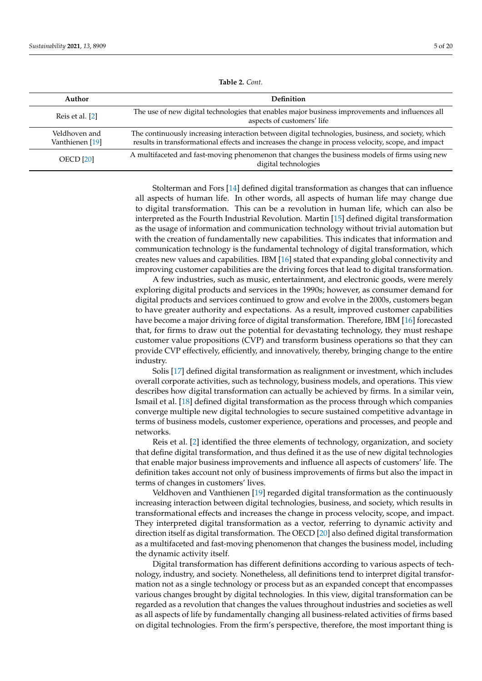<span id="page-4-0"></span>

| Author                           | <b>Definition</b>                                                                                                                                                                                         |
|----------------------------------|-----------------------------------------------------------------------------------------------------------------------------------------------------------------------------------------------------------|
| Reis et al. [2]                  | The use of new digital technologies that enables major business improvements and influences all<br>aspects of customers' life                                                                             |
| Veldhoven and<br>Vanthienen [19] | The continuously increasing interaction between digital technologies, business, and society, which<br>results in transformational effects and increases the change in process velocity, scope, and impact |
| <b>OECD</b> [20]                 | A multifaceted and fast-moving phenomenon that changes the business models of firms using new<br>digital technologies                                                                                     |

**Table 2.** *Cont.*

Stolterman and Fors [\[14\]](#page-18-3) defined digital transformation as changes that can influence all aspects of human life. In other words, all aspects of human life may change due to digital transformation. This can be a revolution in human life, which can also be interpreted as the Fourth Industrial Revolution. Martin [\[15\]](#page-18-4) defined digital transformation as the usage of information and communication technology without trivial automation but with the creation of fundamentally new capabilities. This indicates that information and communication technology is the fundamental technology of digital transformation, which creates new values and capabilities. IBM [\[16\]](#page-18-5) stated that expanding global connectivity and improving customer capabilities are the driving forces that lead to digital transformation.

A few industries, such as music, entertainment, and electronic goods, were merely exploring digital products and services in the 1990s; however, as consumer demand for digital products and services continued to grow and evolve in the 2000s, customers began to have greater authority and expectations. As a result, improved customer capabilities have become a major driving force of digital transformation. Therefore, IBM [\[16\]](#page-18-5) forecasted that, for firms to draw out the potential for devastating technology, they must reshape customer value propositions (CVP) and transform business operations so that they can provide CVP effectively, efficiently, and innovatively, thereby, bringing change to the entire industry.

Solis [\[17\]](#page-18-6) defined digital transformation as realignment or investment, which includes overall corporate activities, such as technology, business models, and operations. This view describes how digital transformation can actually be achieved by firms. In a similar vein, Ismail et al. [\[18\]](#page-18-7) defined digital transformation as the process through which companies converge multiple new digital technologies to secure sustained competitive advantage in terms of business models, customer experience, operations and processes, and people and networks.

Reis et al. [\[2\]](#page-17-1) identified the three elements of technology, organization, and society that define digital transformation, and thus defined it as the use of new digital technologies that enable major business improvements and influence all aspects of customers' life. The definition takes account not only of business improvements of firms but also the impact in terms of changes in customers' lives.

Veldhoven and Vanthienen [\[19\]](#page-18-8) regarded digital transformation as the continuously increasing interaction between digital technologies, business, and society, which results in transformational effects and increases the change in process velocity, scope, and impact. They interpreted digital transformation as a vector, referring to dynamic activity and direction itself as digital transformation. The OECD [\[20\]](#page-18-9) also defined digital transformation as a multifaceted and fast-moving phenomenon that changes the business model, including the dynamic activity itself.

Digital transformation has different definitions according to various aspects of technology, industry, and society. Nonetheless, all definitions tend to interpret digital transformation not as a single technology or process but as an expanded concept that encompasses various changes brought by digital technologies. In this view, digital transformation can be regarded as a revolution that changes the values throughout industries and societies as well as all aspects of life by fundamentally changing all business-related activities of firms based on digital technologies. From the firm's perspective, therefore, the most important thing is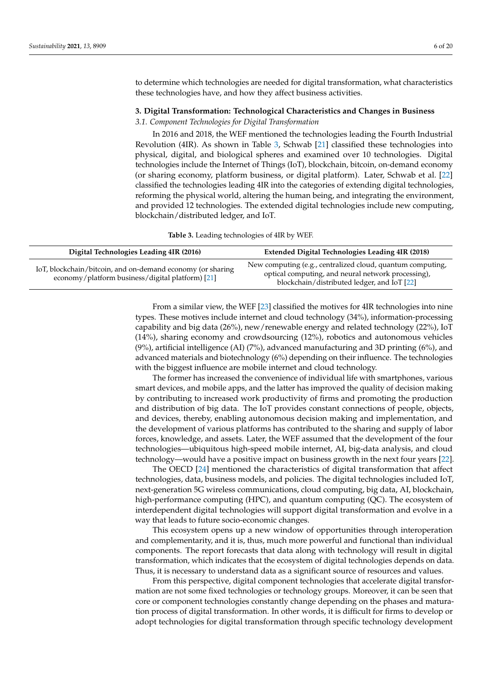to determine which technologies are needed for digital transformation, what characteristics these technologies have, and how they affect business activities.

## <span id="page-5-0"></span>**3. Digital Transformation: Technological Characteristics and Changes in Business**

#### *3.1. Component Technologies for Digital Transformation*

In 2016 and 2018, the WEF mentioned the technologies leading the Fourth Industrial Revolution (4IR). As shown in Table [3,](#page-5-1) Schwab [\[21\]](#page-18-10) classified these technologies into physical, digital, and biological spheres and examined over 10 technologies. Digital technologies include the Internet of Things (IoT), blockchain, bitcoin, on-demand economy (or sharing economy, platform business, or digital platform). Later, Schwab et al. [\[22\]](#page-18-11) classified the technologies leading 4IR into the categories of extending digital technologies, reforming the physical world, altering the human being, and integrating the environment, and provided 12 technologies. The extended digital technologies include new computing, blockchain/distributed ledger, and IoT.

**Table 3.** Leading technologies of 4IR by WEF.

<span id="page-5-1"></span>

| Digital Technologies Leading 4IR (2016)                                                                        | <b>Extended Digital Technologies Leading 4IR (2018)</b>                                                                                                         |
|----------------------------------------------------------------------------------------------------------------|-----------------------------------------------------------------------------------------------------------------------------------------------------------------|
| IoT, blockchain/bitcoin, and on-demand economy (or sharing<br>economy/platform business/digital platform) [21] | New computing (e.g., centralized cloud, quantum computing,<br>optical computing, and neural network processing),<br>blockchain/distributed ledger, and IoT [22] |

From a similar view, the WEF [\[23\]](#page-18-12) classified the motives for 4IR technologies into nine types. These motives include internet and cloud technology (34%), information-processing capability and big data (26%), new/renewable energy and related technology (22%), IoT (14%), sharing economy and crowdsourcing (12%), robotics and autonomous vehicles (9%), artificial intelligence (AI) (7%), advanced manufacturing and 3D printing (6%), and advanced materials and biotechnology (6%) depending on their influence. The technologies with the biggest influence are mobile internet and cloud technology.

The former has increased the convenience of individual life with smartphones, various smart devices, and mobile apps, and the latter has improved the quality of decision making by contributing to increased work productivity of firms and promoting the production and distribution of big data. The IoT provides constant connections of people, objects, and devices, thereby, enabling autonomous decision making and implementation, and the development of various platforms has contributed to the sharing and supply of labor forces, knowledge, and assets. Later, the WEF assumed that the development of the four technologies—ubiquitous high-speed mobile internet, AI, big-data analysis, and cloud technology—would have a positive impact on business growth in the next four years [\[22\]](#page-18-11).

The OECD [\[24\]](#page-18-13) mentioned the characteristics of digital transformation that affect technologies, data, business models, and policies. The digital technologies included IoT, next-generation 5G wireless communications, cloud computing, big data, AI, blockchain, high-performance computing (HPC), and quantum computing (QC). The ecosystem of interdependent digital technologies will support digital transformation and evolve in a way that leads to future socio-economic changes.

This ecosystem opens up a new window of opportunities through interoperation and complementarity, and it is, thus, much more powerful and functional than individual components. The report forecasts that data along with technology will result in digital transformation, which indicates that the ecosystem of digital technologies depends on data. Thus, it is necessary to understand data as a significant source of resources and values.

From this perspective, digital component technologies that accelerate digital transformation are not some fixed technologies or technology groups. Moreover, it can be seen that core or component technologies constantly change depending on the phases and maturation process of digital transformation. In other words, it is difficult for firms to develop or adopt technologies for digital transformation through specific technology development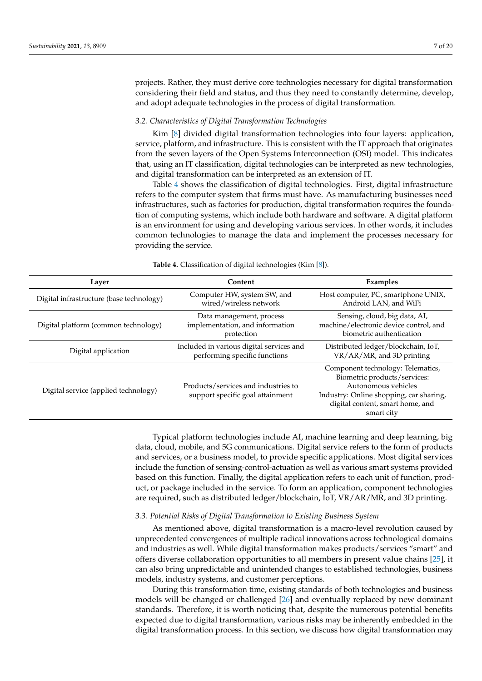projects. Rather, they must derive core technologies necessary for digital transformation considering their field and status, and thus they need to constantly determine, develop, and adopt adequate technologies in the process of digital transformation.

## *3.2. Characteristics of Digital Transformation Technologies*

Kim [\[8\]](#page-17-7) divided digital transformation technologies into four layers: application, service, platform, and infrastructure. This is consistent with the IT approach that originates from the seven layers of the Open Systems Interconnection (OSI) model. This indicates that, using an IT classification, digital technologies can be interpreted as new technologies, and digital transformation can be interpreted as an extension of IT.

Table [4](#page-6-0) shows the classification of digital technologies. First, digital infrastructure refers to the computer system that firms must have. As manufacturing businesses need infrastructures, such as factories for production, digital transformation requires the foundation of computing systems, which include both hardware and software. A digital platform is an environment for using and developing various services. In other words, it includes common technologies to manage the data and implement the processes necessary for providing the service.

<span id="page-6-0"></span>

| Layer                                    | Content                                                                   | Examples                                                                                                                                                                              |  |
|------------------------------------------|---------------------------------------------------------------------------|---------------------------------------------------------------------------------------------------------------------------------------------------------------------------------------|--|
| Digital infrastructure (base technology) | Computer HW, system SW, and<br>wired/wireless network                     | Host computer, PC, smartphone UNIX,<br>Android LAN, and WiFi                                                                                                                          |  |
| Digital platform (common technology)     | Data management, process<br>implementation, and information<br>protection | Sensing, cloud, big data, AI,<br>machine/electronic device control, and<br>biometric authentication                                                                                   |  |
| Digital application                      | Included in various digital services and<br>performing specific functions | Distributed ledger/blockchain, IoT,<br>VR/AR/MR, and 3D printing                                                                                                                      |  |
| Digital service (applied technology)     | Products/services and industries to<br>support specific goal attainment   | Component technology: Telematics,<br>Biometric products/services:<br>Autonomous vehicles<br>Industry: Online shopping, car sharing,<br>digital content, smart home, and<br>smart city |  |

**Table 4.** Classification of digital technologies (Kim [\[8\]](#page-17-7)).

Typical platform technologies include AI, machine learning and deep learning, big data, cloud, mobile, and 5G communications. Digital service refers to the form of products and services, or a business model, to provide specific applications. Most digital services include the function of sensing-control-actuation as well as various smart systems provided based on this function. Finally, the digital application refers to each unit of function, product, or package included in the service. To form an application, component technologies are required, such as distributed ledger/blockchain, IoT, VR/AR/MR, and 3D printing.

## *3.3. Potential Risks of Digital Transformation to Existing Business System*

As mentioned above, digital transformation is a macro-level revolution caused by unprecedented convergences of multiple radical innovations across technological domains and industries as well. While digital transformation makes products/services "smart" and offers diverse collaboration opportunities to all members in present value chains [\[25\]](#page-18-14), it can also bring unpredictable and unintended changes to established technologies, business models, industry systems, and customer perceptions.

During this transformation time, existing standards of both technologies and business models will be changed or challenged [\[26\]](#page-18-15) and eventually replaced by new dominant standards. Therefore, it is worth noticing that, despite the numerous potential benefits expected due to digital transformation, various risks may be inherently embedded in the digital transformation process. In this section, we discuss how digital transformation may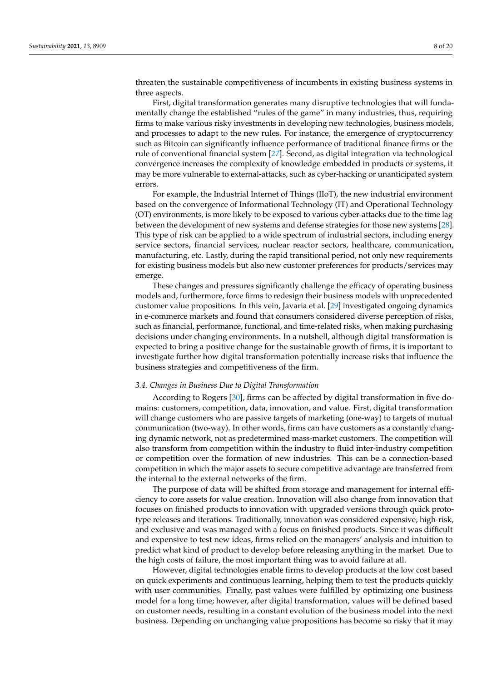threaten the sustainable competitiveness of incumbents in existing business systems in three aspects.

First, digital transformation generates many disruptive technologies that will fundamentally change the established "rules of the game" in many industries, thus, requiring firms to make various risky investments in developing new technologies, business models, and processes to adapt to the new rules. For instance, the emergence of cryptocurrency such as Bitcoin can significantly influence performance of traditional finance firms or the rule of conventional financial system [\[27\]](#page-18-16). Second, as digital integration via technological convergence increases the complexity of knowledge embedded in products or systems, it may be more vulnerable to external-attacks, such as cyber-hacking or unanticipated system errors.

For example, the Industrial Internet of Things (IIoT), the new industrial environment based on the convergence of Informational Technology (IT) and Operational Technology (OT) environments, is more likely to be exposed to various cyber-attacks due to the time lag between the development of new systems and defense strategies for those new systems [\[28\]](#page-18-17). This type of risk can be applied to a wide spectrum of industrial sectors, including energy service sectors, financial services, nuclear reactor sectors, healthcare, communication, manufacturing, etc. Lastly, during the rapid transitional period, not only new requirements for existing business models but also new customer preferences for products/services may emerge.

These changes and pressures significantly challenge the efficacy of operating business models and, furthermore, force firms to redesign their business models with unprecedented customer value propositions. In this vein, Javaria et al. [\[29\]](#page-18-18) investigated ongoing dynamics in e-commerce markets and found that consumers considered diverse perception of risks, such as financial, performance, functional, and time-related risks, when making purchasing decisions under changing environments. In a nutshell, although digital transformation is expected to bring a positive change for the sustainable growth of firms, it is important to investigate further how digital transformation potentially increase risks that influence the business strategies and competitiveness of the firm.

#### *3.4. Changes in Business Due to Digital Transformation*

According to Rogers [\[30\]](#page-18-19), firms can be affected by digital transformation in five domains: customers, competition, data, innovation, and value. First, digital transformation will change customers who are passive targets of marketing (one-way) to targets of mutual communication (two-way). In other words, firms can have customers as a constantly changing dynamic network, not as predetermined mass-market customers. The competition will also transform from competition within the industry to fluid inter-industry competition or competition over the formation of new industries. This can be a connection-based competition in which the major assets to secure competitive advantage are transferred from the internal to the external networks of the firm.

The purpose of data will be shifted from storage and management for internal efficiency to core assets for value creation. Innovation will also change from innovation that focuses on finished products to innovation with upgraded versions through quick prototype releases and iterations. Traditionally, innovation was considered expensive, high-risk, and exclusive and was managed with a focus on finished products. Since it was difficult and expensive to test new ideas, firms relied on the managers' analysis and intuition to predict what kind of product to develop before releasing anything in the market. Due to the high costs of failure, the most important thing was to avoid failure at all.

However, digital technologies enable firms to develop products at the low cost based on quick experiments and continuous learning, helping them to test the products quickly with user communities. Finally, past values were fulfilled by optimizing one business model for a long time; however, after digital transformation, values will be defined based on customer needs, resulting in a constant evolution of the business model into the next business. Depending on unchanging value propositions has become so risky that it may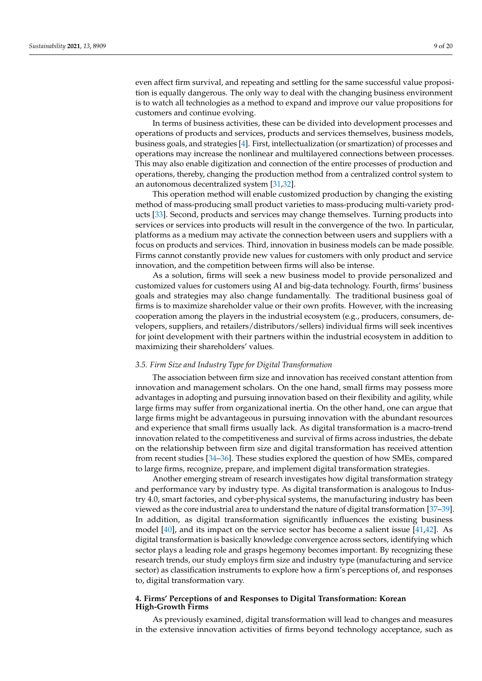even affect firm survival, and repeating and settling for the same successful value proposition is equally dangerous. The only way to deal with the changing business environment is to watch all technologies as a method to expand and improve our value propositions for customers and continue evolving.

In terms of business activities, these can be divided into development processes and operations of products and services, products and services themselves, business models, business goals, and strategies [\[4\]](#page-17-3). First, intellectualization (or smartization) of processes and operations may increase the nonlinear and multilayered connections between processes. This may also enable digitization and connection of the entire processes of production and operations, thereby, changing the production method from a centralized control system to an autonomous decentralized system [\[31,](#page-18-20)[32\]](#page-18-21).

This operation method will enable customized production by changing the existing method of mass-producing small product varieties to mass-producing multi-variety products [\[33\]](#page-18-22). Second, products and services may change themselves. Turning products into services or services into products will result in the convergence of the two. In particular, platforms as a medium may activate the connection between users and suppliers with a focus on products and services. Third, innovation in business models can be made possible. Firms cannot constantly provide new values for customers with only product and service innovation, and the competition between firms will also be intense.

As a solution, firms will seek a new business model to provide personalized and customized values for customers using AI and big-data technology. Fourth, firms' business goals and strategies may also change fundamentally. The traditional business goal of firms is to maximize shareholder value or their own profits. However, with the increasing cooperation among the players in the industrial ecosystem (e.g., producers, consumers, developers, suppliers, and retailers/distributors/sellers) individual firms will seek incentives for joint development with their partners within the industrial ecosystem in addition to maximizing their shareholders' values.

#### *3.5. Firm Size and Industry Type for Digital Transformation*

The association between firm size and innovation has received constant attention from innovation and management scholars. On the one hand, small firms may possess more advantages in adopting and pursuing innovation based on their flexibility and agility, while large firms may suffer from organizational inertia. On the other hand, one can argue that large firms might be advantageous in pursuing innovation with the abundant resources and experience that small firms usually lack. As digital transformation is a macro-trend innovation related to the competitiveness and survival of firms across industries, the debate on the relationship between firm size and digital transformation has received attention from recent studies [\[34–](#page-18-23)[36\]](#page-18-24). These studies explored the question of how SMEs, compared to large firms, recognize, prepare, and implement digital transformation strategies.

Another emerging stream of research investigates how digital transformation strategy and performance vary by industry type. As digital transformation is analogous to Industry 4.0, smart factories, and cyber-physical systems, the manufacturing industry has been viewed as the core industrial area to understand the nature of digital transformation [\[37–](#page-18-25)[39\]](#page-18-26). In addition, as digital transformation significantly influences the existing business model [\[40\]](#page-19-0), and its impact on the service sector has become a salient issue [\[41,](#page-19-1)[42\]](#page-19-2). As digital transformation is basically knowledge convergence across sectors, identifying which sector plays a leading role and grasps hegemony becomes important. By recognizing these research trends, our study employs firm size and industry type (manufacturing and service sector) as classification instruments to explore how a firm's perceptions of, and responses to, digital transformation vary.

## <span id="page-8-0"></span>**4. Firms' Perceptions of and Responses to Digital Transformation: Korean High-Growth Firms**

As previously examined, digital transformation will lead to changes and measures in the extensive innovation activities of firms beyond technology acceptance, such as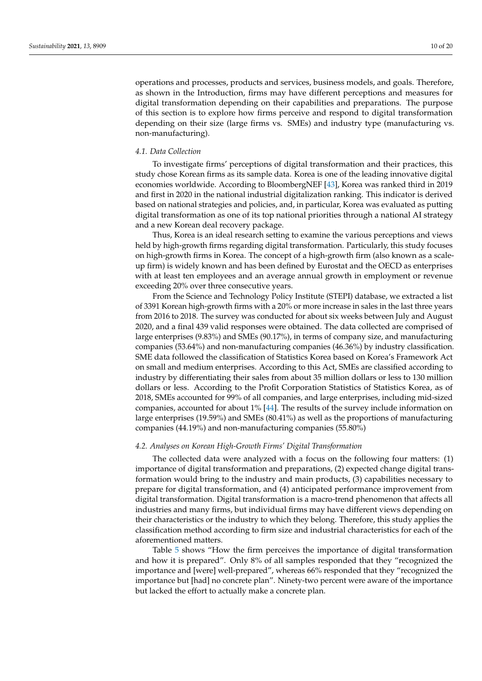operations and processes, products and services, business models, and goals. Therefore, as shown in the Introduction, firms may have different perceptions and measures for digital transformation depending on their capabilities and preparations. The purpose of this section is to explore how firms perceive and respond to digital transformation depending on their size (large firms vs. SMEs) and industry type (manufacturing vs. non-manufacturing).

#### *4.1. Data Collection*

To investigate firms' perceptions of digital transformation and their practices, this study chose Korean firms as its sample data. Korea is one of the leading innovative digital economies worldwide. According to BloombergNEF [\[43\]](#page-19-3), Korea was ranked third in 2019 and first in 2020 in the national industrial digitalization ranking. This indicator is derived based on national strategies and policies, and, in particular, Korea was evaluated as putting digital transformation as one of its top national priorities through a national AI strategy and a new Korean deal recovery package.

Thus, Korea is an ideal research setting to examine the various perceptions and views held by high-growth firms regarding digital transformation. Particularly, this study focuses on high-growth firms in Korea. The concept of a high-growth firm (also known as a scaleup firm) is widely known and has been defined by Eurostat and the OECD as enterprises with at least ten employees and an average annual growth in employment or revenue exceeding 20% over three consecutive years.

From the Science and Technology Policy Institute (STEPI) database, we extracted a list of 3391 Korean high-growth firms with a 20% or more increase in sales in the last three years from 2016 to 2018. The survey was conducted for about six weeks between July and August 2020, and a final 439 valid responses were obtained. The data collected are comprised of large enterprises (9.83%) and SMEs (90.17%), in terms of company size, and manufacturing companies (53.64%) and non-manufacturing companies (46.36%) by industry classification. SME data followed the classification of Statistics Korea based on Korea's Framework Act on small and medium enterprises. According to this Act, SMEs are classified according to industry by differentiating their sales from about 35 million dollars or less to 130 million dollars or less. According to the Profit Corporation Statistics of Statistics Korea, as of 2018, SMEs accounted for 99% of all companies, and large enterprises, including mid-sized companies, accounted for about 1% [\[44\]](#page-19-4). The results of the survey include information on large enterprises (19.59%) and SMEs (80.41%) as well as the proportions of manufacturing companies (44.19%) and non-manufacturing companies (55.80%)

## *4.2. Analyses on Korean High-Growth Firms' Digital Transformation*

The collected data were analyzed with a focus on the following four matters: (1) importance of digital transformation and preparations, (2) expected change digital transformation would bring to the industry and main products, (3) capabilities necessary to prepare for digital transformation, and (4) anticipated performance improvement from digital transformation. Digital transformation is a macro-trend phenomenon that affects all industries and many firms, but individual firms may have different views depending on their characteristics or the industry to which they belong. Therefore, this study applies the classification method according to firm size and industrial characteristics for each of the aforementioned matters.

Table [5](#page-10-0) shows "How the firm perceives the importance of digital transformation and how it is prepared". Only 8% of all samples responded that they "recognized the importance and [were] well-prepared", whereas 66% responded that they "recognized the importance but [had] no concrete plan". Ninety-two percent were aware of the importance but lacked the effort to actually make a concrete plan.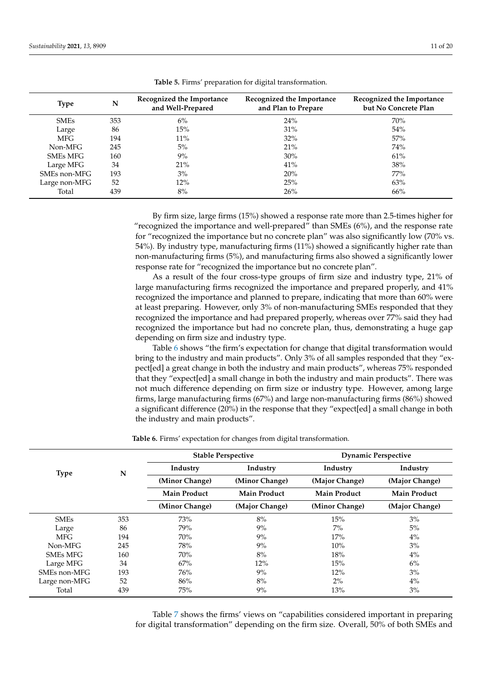<span id="page-10-0"></span>

| <b>Type</b>   | N   | Recognized the Importance<br>and Well-Prepared | Recognized the Importance<br>and Plan to Prepare | Recognized the Importance<br>but No Concrete Plan |
|---------------|-----|------------------------------------------------|--------------------------------------------------|---------------------------------------------------|
| <b>SMEs</b>   | 353 | $6\%$                                          | 24%                                              | 70%                                               |
| Large         | 86  | 15%                                            | 31%                                              | 54%                                               |
| MFG.          | 194 | 11%                                            | $32\%$                                           | 57%                                               |
| Non-MFG       | 245 | $5\%$                                          | 21%                                              | 74%                                               |
| SMEs MFG      | 160 | $9\%$                                          | 30%                                              | 61%                                               |
| Large MFG     | 34  | 21%                                            | 41%                                              | 38%                                               |
| SMEs non-MFG  | 193 | $3\%$                                          | 20%                                              | 77%                                               |
| Large non-MFG | 52  | 12%                                            | 25%                                              | 63%                                               |
| Total         | 439 | 8%                                             | 26%                                              | 66%                                               |

**Table 5.** Firms' preparation for digital transformation.

By firm size, large firms (15%) showed a response rate more than 2.5-times higher for "recognized the importance and well-prepared" than SMEs (6%), and the response rate for "recognized the importance but no concrete plan" was also significantly low (70% vs. 54%). By industry type, manufacturing firms (11%) showed a significantly higher rate than non-manufacturing firms (5%), and manufacturing firms also showed a significantly lower response rate for "recognized the importance but no concrete plan".

As a result of the four cross-type groups of firm size and industry type, 21% of large manufacturing firms recognized the importance and prepared properly, and 41% recognized the importance and planned to prepare, indicating that more than 60% were at least preparing. However, only 3% of non-manufacturing SMEs responded that they recognized the importance and had prepared properly, whereas over 77% said they had recognized the importance but had no concrete plan, thus, demonstrating a huge gap depending on firm size and industry type.

Table [6](#page-10-1) shows "the firm's expectation for change that digital transformation would bring to the industry and main products". Only 3% of all samples responded that they "expect[ed] a great change in both the industry and main products", whereas 75% responded that they "expect[ed] a small change in both the industry and main products". There was not much difference depending on firm size or industry type. However, among large firms, large manufacturing firms (67%) and large non-manufacturing firms (86%) showed a significant difference (20%) in the response that they "expect[ed] a small change in both the industry and main products".

**Table 6.** Firms' expectation for changes from digital transformation.

<span id="page-10-1"></span>

|                 |     |                     | <b>Stable Perspective</b> | <b>Dynamic Perspective</b> |                     |  |  |
|-----------------|-----|---------------------|---------------------------|----------------------------|---------------------|--|--|
| <b>Type</b>     | N   | Industry            | Industry                  | Industry                   | Industry            |  |  |
|                 |     | (Minor Change)      | (Minor Change)            | (Major Change)             | (Major Change)      |  |  |
|                 |     | <b>Main Product</b> | <b>Main Product</b>       | <b>Main Product</b>        | <b>Main Product</b> |  |  |
|                 |     | (Minor Change)      | (Major Change)            | (Minor Change)             | (Major Change)      |  |  |
| <b>SMEs</b>     | 353 | 73%                 | 8%                        | 15%                        | 3%                  |  |  |
| Large           | 86  | 79%                 | 9%                        | $7\%$                      | $5\%$               |  |  |
| <b>MFG</b>      | 194 | 70%                 | 9%                        | 17%                        | 4%                  |  |  |
| Non-MFG         | 245 | 78%                 | 9%                        | 10%                        | 3%                  |  |  |
| <b>SMEs MFG</b> | 160 | 70%                 | 8%                        | 18%                        | $4\%$               |  |  |
| Large MFG       | 34  | 67%                 | 12%                       | 15%                        | 6%                  |  |  |
| SMEs non-MFG    | 193 | 76%                 | 9%                        | 12%                        | 3%                  |  |  |
| Large non-MFG   | 52  | 86%                 | 8%                        | $2\%$                      | 4%                  |  |  |
| Total           | 439 | 75%                 | 9%                        | 13%                        | 3%                  |  |  |

Table [7](#page-11-0) shows the firms' views on "capabilities considered important in preparing for digital transformation" depending on the firm size. Overall, 50% of both SMEs and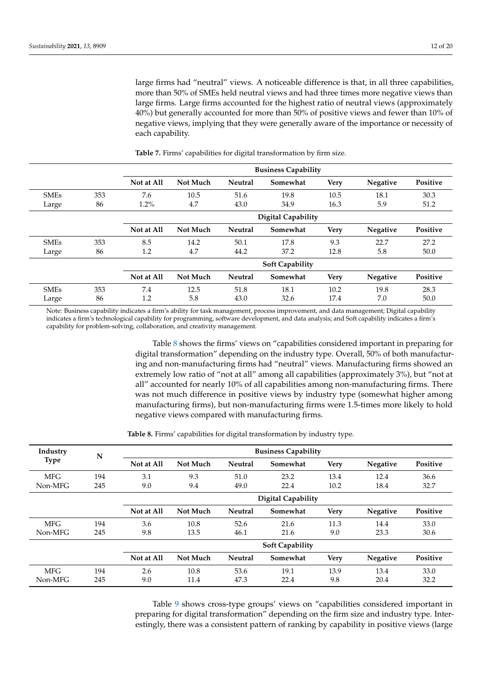large firms had "neutral" views. A noticeable difference is that, in all three capabilities, more than 50% of SMEs held neutral views and had three times more negative views than large firms. Large firms accounted for the highest ratio of neutral views (approximately 40%) but generally accounted for more than 50% of positive views and fewer than 10% of negative views, implying that they were generally aware of the importance or necessity of each capability.

<span id="page-11-0"></span>

|             |     |            |                           |                | <b>Business Capability</b> |             |                 |                 |
|-------------|-----|------------|---------------------------|----------------|----------------------------|-------------|-----------------|-----------------|
|             |     | Not at All | Not Much                  | <b>Neutral</b> | Somewhat                   | <b>Very</b> | <b>Negative</b> | <b>Positive</b> |
| <b>SMEs</b> | 353 | 7.6        | 10.5                      | 51.6           | 19.8                       | 10.5        | 18.1            | 30.3            |
| Large       | 86  | $1.2\%$    | 4.7                       | 43.0           | 34.9                       | 16.3        | 5.9             | 51.2            |
|             |     |            | <b>Digital Capability</b> |                |                            |             |                 |                 |
|             |     | Not at All | Not Much                  | <b>Neutral</b> | Somewhat                   | <b>Very</b> | <b>Negative</b> | Positive        |
| <b>SMEs</b> | 353 | 8.5        | 14.2                      | 50.1           | 17.8                       | 9.3         | 22.7            | 27.2            |
| Large       | 86  | 1.2        | 4.7                       | 44.2           | 37.2                       | 12.8        | 5.8             | 50.0            |
|             |     |            |                           |                | <b>Soft Capability</b>     |             |                 |                 |
|             |     | Not at All | Not Much                  | <b>Neutral</b> | Somewhat                   | <b>Very</b> | Negative        | Positive        |
| <b>SMEs</b> | 353 | 7.4        | 12.5                      | 51.8           | 18.1                       | 10.2        | 19.8            | 28.3            |
| Large       | 86  | 1.2        | 5.8                       | 43.0           | 32.6                       | 17.4        | 7.0             | 50.0            |

**Table 7.** Firms' capabilities for digital transformation by firm size.

Note: Business capability indicates a firm's ability for task management, process improvement, and data management; Digital capability indicates a firm's technological capability for programming, software development, and data analysis; and Soft capability indicates a firm's capability for problem-solving, collaboration, and creativity management.

> Table [8](#page-11-1) shows the firms' views on "capabilities considered important in preparing for digital transformation" depending on the industry type. Overall, 50% of both manufacturing and non-manufacturing firms had "neutral" views. Manufacturing firms showed an extremely low ratio of "not at all" among all capabilities (approximately 3%), but "not at all" accounted for nearly 10% of all capabilities among non-manufacturing firms. There was not much difference in positive views by industry type (somewhat higher among manufacturing firms), but non-manufacturing firms were 1.5-times more likely to hold negative views compared with manufacturing firms.

**Table 8.** Firms' capabilities for digital transformation by industry type.

<span id="page-11-1"></span>

| Industry    | N   |            |                           |                | <b>Business Capability</b> |             |                 |          |
|-------------|-----|------------|---------------------------|----------------|----------------------------|-------------|-----------------|----------|
| <b>Type</b> |     | Not at All | Not Much                  | <b>Neutral</b> | Somewhat                   | <b>Very</b> | <b>Negative</b> | Positive |
| <b>MFG</b>  | 194 | 3.1        | 9.3                       | 51.0           | 23.2                       | 13.4        | 12.4            | 36.6     |
| Non-MFG     | 245 | 9.0        | 9.4                       | 49.0           | 22.4                       | 10.2        | 18.4            | 32.7     |
|             |     |            | <b>Digital Capability</b> |                |                            |             |                 |          |
|             |     | Not at All | Not Much                  | <b>Neutral</b> | Somewhat                   | <b>Very</b> | <b>Negative</b> | Positive |
| <b>MFG</b>  | 194 | 3.6        | 10.8                      | 52.6           | 21.6                       | 11.3        | 14.4            | 33.0     |
| Non-MFG     | 245 | 9.8        | 13.5                      | 46.1           | 21.6                       | 9.0         | 23.3            | 30.6     |
|             |     |            |                           |                | <b>Soft Capability</b>     |             |                 |          |
|             |     | Not at All | Not Much                  | Neutral        | Somewhat                   | <b>Very</b> | Negative        | Positive |
| <b>MFG</b>  | 194 | 2.6        | 10.8                      | 53.6           | 19.1                       | 13.9        | 13.4            | 33.0     |
| Non-MFG     | 245 | 9.0        | 11.4                      | 47.3           | 22.4                       | 9.8         | 20.4            | 32.2     |

Table [9](#page-12-0) shows cross-type groups' views on "capabilities considered important in preparing for digital transformation" depending on the firm size and industry type. Interestingly, there was a consistent pattern of ranking by capability in positive views (large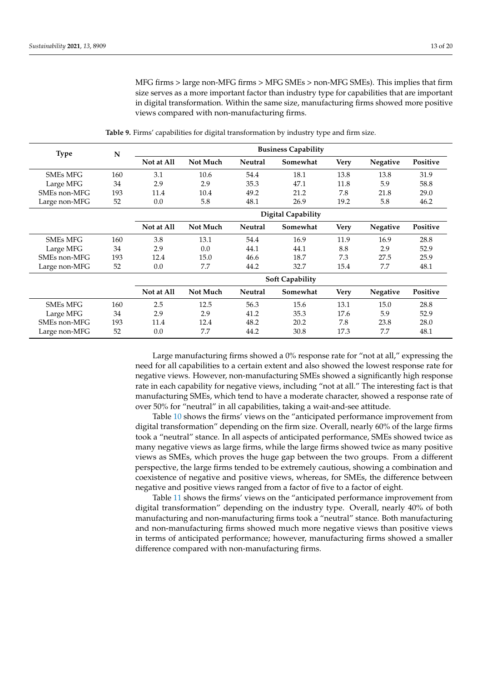MFG firms > large non-MFG firms > MFG SMEs > non-MFG SMEs). This implies that firm size serves as a more important factor than industry type for capabilities that are important in digital transformation. Within the same size, manufacturing firms showed more positive views compared with non-manufacturing firms.

<span id="page-12-0"></span>

| <b>Type</b>     | N   | <b>Business Capability</b> |                 |                |                           |             |                 |          |
|-----------------|-----|----------------------------|-----------------|----------------|---------------------------|-------------|-----------------|----------|
|                 |     | Not at All                 | Not Much        | <b>Neutral</b> | Somewhat                  | <b>Very</b> | <b>Negative</b> | Positive |
| <b>SMEs MFG</b> | 160 | 3.1                        | 10.6            | 54.4           | 18.1                      | 13.8        | 13.8            | 31.9     |
| Large MFG       | 34  | 2.9                        | 2.9             | 35.3           | 47.1                      | 11.8        | 5.9             | 58.8     |
| SMEs non-MFG    | 193 | 11.4                       | 10.4            | 49.2           | 21.2                      | 7.8         | 21.8            | 29.0     |
| Large non-MFG   | 52  | 0.0                        | 5.8             | 48.1           | 26.9                      | 19.2        | 5.8             | 46.2     |
|                 |     |                            |                 |                | <b>Digital Capability</b> |             |                 |          |
|                 |     | Not at All                 | <b>Not Much</b> | <b>Neutral</b> | Somewhat                  | <b>Very</b> | <b>Negative</b> | Positive |
| <b>SMEs MFG</b> | 160 | 3.8                        | 13.1            | 54.4           | 16.9                      | 11.9        | 16.9            | 28.8     |
| Large MFG       | 34  | 2.9                        | 0.0             | 44.1           | 44.1                      | 8.8         | 2.9             | 52.9     |
| SMEs non-MFG    | 193 | 12.4                       | 15.0            | 46.6           | 18.7                      | 7.3         | 27.5            | 25.9     |
| Large non-MFG   | 52  | 0.0                        | 7.7             | 44.2           | 32.7                      | 15.4        | 7.7             | 48.1     |
|                 |     |                            |                 |                | <b>Soft Capability</b>    |             |                 |          |
|                 |     | Not at All                 | Not Much        | <b>Neutral</b> | Somewhat                  | <b>Very</b> | <b>Negative</b> | Positive |
| <b>SMEs MFG</b> | 160 | 2.5                        | 12.5            | 56.3           | 15.6                      | 13.1        | 15.0            | 28.8     |
| Large MFG       | 34  | 2.9                        | 2.9             | 41.2           | 35.3                      | 17.6        | 5.9             | 52.9     |
| SMEs non-MFG    | 193 | 11.4                       | 12.4            | 48.2           | 20.2                      | 7.8         | 23.8            | 28.0     |
| Large non-MFG   | 52  | 0.0                        | 7.7             | 44.2           | 30.8                      | 17.3        | 7.7             | 48.1     |

**Table 9.** Firms' capabilities for digital transformation by industry type and firm size.

Large manufacturing firms showed a 0% response rate for "not at all," expressing the need for all capabilities to a certain extent and also showed the lowest response rate for negative views. However, non-manufacturing SMEs showed a significantly high response rate in each capability for negative views, including "not at all." The interesting fact is that manufacturing SMEs, which tend to have a moderate character, showed a response rate of over 50% for "neutral" in all capabilities, taking a wait-and-see attitude.

Table [10](#page-13-0) shows the firms' views on the "anticipated performance improvement from digital transformation" depending on the firm size. Overall, nearly 60% of the large firms took a "neutral" stance. In all aspects of anticipated performance, SMEs showed twice as many negative views as large firms, while the large firms showed twice as many positive views as SMEs, which proves the huge gap between the two groups. From a different perspective, the large firms tended to be extremely cautious, showing a combination and coexistence of negative and positive views, whereas, for SMEs, the difference between negative and positive views ranged from a factor of five to a factor of eight.

Table [11](#page-13-1) shows the firms' views on the "anticipated performance improvement from digital transformation" depending on the industry type. Overall, nearly 40% of both manufacturing and non-manufacturing firms took a "neutral" stance. Both manufacturing and non-manufacturing firms showed much more negative views than positive views in terms of anticipated performance; however, manufacturing firms showed a smaller difference compared with non-manufacturing firms.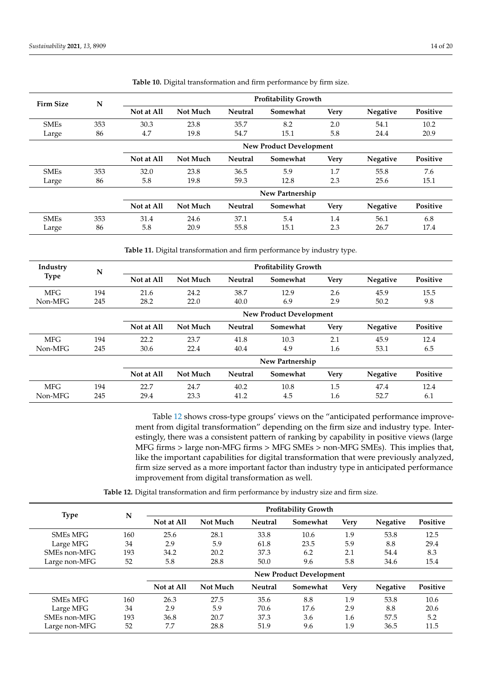<span id="page-13-0"></span>

| <b>Firm Size</b> | N   |            |                                | <b>Profitability Growth</b> |                 |             |                 |          |
|------------------|-----|------------|--------------------------------|-----------------------------|-----------------|-------------|-----------------|----------|
|                  |     | Not at All | Not Much                       | <b>Neutral</b>              | Somewhat        | <b>Very</b> | Negative        | Positive |
| <b>SMEs</b>      | 353 | 30.3       | 23.8                           | 35.7                        | 8.2             | 2.0         | 54.1            | 10.2     |
| Large            | 86  | 4.7        | 19.8                           | 54.7                        | 15.1            | 5.8         | 24.4            | 20.9     |
|                  |     |            | <b>New Product Development</b> |                             |                 |             |                 |          |
|                  |     | Not at All | Not Much                       | <b>Neutral</b>              | Somewhat        | <b>Very</b> | Negative        | Positive |
| <b>SMEs</b>      | 353 | 32.0       | 23.8                           | 36.5                        | 5.9             | 1.7         | 55.8            | 7.6      |
| Large            | 86  | 5.8        | 19.8                           | 59.3                        | 12.8            | 2.3         | 25.6            | 15.1     |
|                  |     |            |                                |                             | New Partnership |             |                 |          |
|                  |     | Not at All | Not Much                       | <b>Neutral</b>              | Somewhat        | <b>Very</b> | <b>Negative</b> | Positive |
| <b>SMEs</b>      | 353 | 31.4       | 24.6                           | 37.1                        | 5.4             | 1.4         | 56.1            | 6.8      |
| Large            | 86  | 5.8        | 20.9                           | 55.8                        | 15.1            | 2.3         | 26.7            | 17.4     |

**Table 10.** Digital transformation and firm performance by firm size.

**Table 11.** Digital transformation and firm performance by industry type.

<span id="page-13-1"></span>

| Industry    | N   |            |                                |                | <b>Profitability Growth</b> |             |                 |          |
|-------------|-----|------------|--------------------------------|----------------|-----------------------------|-------------|-----------------|----------|
| <b>Type</b> |     | Not at All | Not Much                       | <b>Neutral</b> | Somewhat                    | <b>Very</b> | <b>Negative</b> | Positive |
| <b>MFG</b>  | 194 | 21.6       | 24.2                           | 38.7           | 12.9                        | 2.6         | 45.9            | 15.5     |
| Non-MFG     | 245 | 28.2       | 22.0                           | 40.0           | 6.9                         | 2.9         | 50.2            | 9.8      |
|             |     |            | <b>New Product Development</b> |                |                             |             |                 |          |
|             |     | Not at All | Not Much                       | <b>Neutral</b> | Somewhat                    | <b>Very</b> | <b>Negative</b> | Positive |
| <b>MFG</b>  | 194 | 22.2       | 23.7                           | 41.8           | 10.3                        | 2.1         | 45.9            | 12.4     |
| Non-MFG     | 245 | 30.6       | 22.4                           | 40.4           | 4.9                         | 1.6         | 53.1            | 6.5      |
|             |     |            |                                |                | New Partnership             |             |                 |          |
|             |     | Not at All | Not Much                       | <b>Neutral</b> | Somewhat                    | <b>Very</b> | <b>Negative</b> | Positive |
| <b>MFG</b>  | 194 | 22.7       | 24.7                           | 40.2           | 10.8                        | 1.5         | 47.4            | 12.4     |
| Non-MFG     | 245 | 29.4       | 23.3                           | 41.2           | 4.5                         | 1.6         | 52.7            | 6.1      |

Table [12](#page-14-1) shows cross-type groups' views on the "anticipated performance improvement from digital transformation" depending on the firm size and industry type. Interestingly, there was a consistent pattern of ranking by capability in positive views (large MFG firms > large non-MFG firms > MFG SMEs > non-MFG SMEs). This implies that, like the important capabilities for digital transformation that were previously analyzed, firm size served as a more important factor than industry type in anticipated performance improvement from digital transformation as well.

**Table 12.** Digital transformation and firm performance by industry size and firm size.

| <b>Type</b>     | N   | <b>Profitability Growth</b>    |          |                |          |             |                 |          |  |  |
|-----------------|-----|--------------------------------|----------|----------------|----------|-------------|-----------------|----------|--|--|
|                 |     | Not at All                     | Not Much | <b>Neutral</b> | Somewhat | <b>Very</b> | <b>Negative</b> | Positive |  |  |
| <b>SMEs MFG</b> | 160 | 25.6                           | 28.1     | 33.8           | 10.6     | 1.9         | 53.8            | 12.5     |  |  |
| Large MFG       | 34  | 2.9                            | 5.9      | 61.8           | 23.5     | 5.9         | 8.8             | 29.4     |  |  |
| SMEs non-MFG    | 193 | 34.2                           | 20.2     | 37.3           | 6.2      | 2.1         | 54.4            | 8.3      |  |  |
| Large non-MFG   | 52  | 5.8                            | 28.8     | 50.0           | 9.6      | 5.8         | 34.6            | 15.4     |  |  |
|                 |     | <b>New Product Development</b> |          |                |          |             |                 |          |  |  |
|                 |     | Not at All                     | Not Much | <b>Neutral</b> | Somewhat | <b>Very</b> | <b>Negative</b> | Positive |  |  |
| <b>SMEs MFG</b> | 160 | 26.3                           | 27.5     | 35.6           | 8.8      | 1.9         | 53.8            | 10.6     |  |  |
| Large MFG       | 34  | 2.9                            | 5.9      | 70.6           | 17.6     | 2.9         | 8.8             | 20.6     |  |  |
| SMEs non-MFG    | 193 | 36.8                           | 20.7     | 37.3           | 3.6      | 1.6         | 57.5            | 5.2      |  |  |
| Large non-MFG   | 52  | 7.7                            | 28.8     | 51.9           | 9.6      | 1.9         | 36.5            | 11.5     |  |  |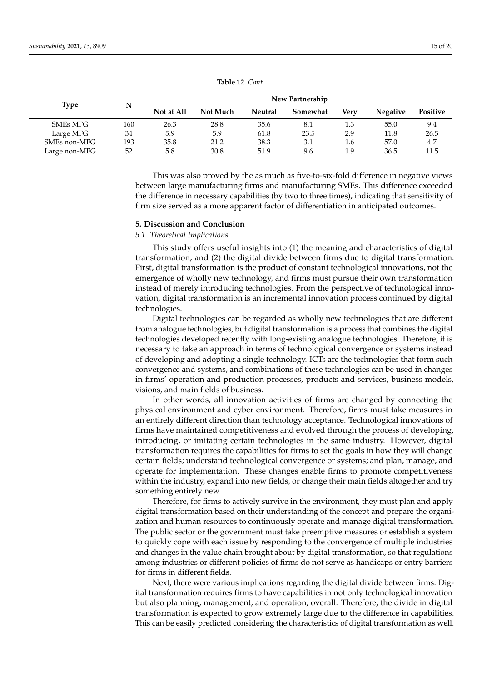<span id="page-14-1"></span>

| <b>Type</b>   | N   | New Partnership |          |                |          |             |                 |          |  |
|---------------|-----|-----------------|----------|----------------|----------|-------------|-----------------|----------|--|
|               |     | Not at All      | Not Much | <b>Neutral</b> | Somewhat | <b>Very</b> | <b>Negative</b> | Positive |  |
| SMEs MFG      | 160 | 26.3            | 28.8     | 35.6           | 8.1      | 1.3         | 55.0            | 9.4      |  |
| Large MFG     | 34  | 5.9             | 5.9      | 61.8           | 23.5     | 2.9         | 11.8            | 26.5     |  |
| SMEs non-MFG  | 193 | 35.8            | 21.2     | 38.3           | 3.1      | 1.6         | 57.0            | 4.7      |  |
| Large non-MFG | 52  | 5.8             | 30.8     | 51.9           | 9.6      | 1.9         | 36.5            | 11.5     |  |

**Table 12.** *Cont.*

This was also proved by the as much as five-to-six-fold difference in negative views between large manufacturing firms and manufacturing SMEs. This difference exceeded the difference in necessary capabilities (by two to three times), indicating that sensitivity of firm size served as a more apparent factor of differentiation in anticipated outcomes.

#### <span id="page-14-0"></span>**5. Discussion and Conclusion**

## *5.1. Theoretical Implications*

This study offers useful insights into (1) the meaning and characteristics of digital transformation, and (2) the digital divide between firms due to digital transformation. First, digital transformation is the product of constant technological innovations, not the emergence of wholly new technology, and firms must pursue their own transformation instead of merely introducing technologies. From the perspective of technological innovation, digital transformation is an incremental innovation process continued by digital technologies.

Digital technologies can be regarded as wholly new technologies that are different from analogue technologies, but digital transformation is a process that combines the digital technologies developed recently with long-existing analogue technologies. Therefore, it is necessary to take an approach in terms of technological convergence or systems instead of developing and adopting a single technology. ICTs are the technologies that form such convergence and systems, and combinations of these technologies can be used in changes in firms' operation and production processes, products and services, business models, visions, and main fields of business.

In other words, all innovation activities of firms are changed by connecting the physical environment and cyber environment. Therefore, firms must take measures in an entirely different direction than technology acceptance. Technological innovations of firms have maintained competitiveness and evolved through the process of developing, introducing, or imitating certain technologies in the same industry. However, digital transformation requires the capabilities for firms to set the goals in how they will change certain fields; understand technological convergence or systems; and plan, manage, and operate for implementation. These changes enable firms to promote competitiveness within the industry, expand into new fields, or change their main fields altogether and try something entirely new.

Therefore, for firms to actively survive in the environment, they must plan and apply digital transformation based on their understanding of the concept and prepare the organization and human resources to continuously operate and manage digital transformation. The public sector or the government must take preemptive measures or establish a system to quickly cope with each issue by responding to the convergence of multiple industries and changes in the value chain brought about by digital transformation, so that regulations among industries or different policies of firms do not serve as handicaps or entry barriers for firms in different fields.

Next, there were various implications regarding the digital divide between firms. Digital transformation requires firms to have capabilities in not only technological innovation but also planning, management, and operation, overall. Therefore, the divide in digital transformation is expected to grow extremely large due to the difference in capabilities. This can be easily predicted considering the characteristics of digital transformation as well.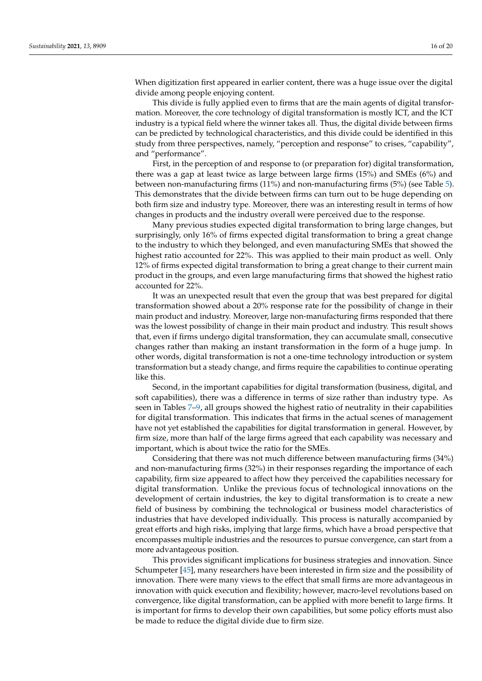When digitization first appeared in earlier content, there was a huge issue over the digital divide among people enjoying content.

This divide is fully applied even to firms that are the main agents of digital transformation. Moreover, the core technology of digital transformation is mostly ICT, and the ICT industry is a typical field where the winner takes all. Thus, the digital divide between firms can be predicted by technological characteristics, and this divide could be identified in this study from three perspectives, namely, "perception and response" to crises, "capability", and "performance".

First, in the perception of and response to (or preparation for) digital transformation, there was a gap at least twice as large between large firms (15%) and SMEs (6%) and between non-manufacturing firms (11%) and non-manufacturing firms (5%) (see Table [5\)](#page-10-0). This demonstrates that the divide between firms can turn out to be huge depending on both firm size and industry type. Moreover, there was an interesting result in terms of how changes in products and the industry overall were perceived due to the response.

Many previous studies expected digital transformation to bring large changes, but surprisingly, only 16% of firms expected digital transformation to bring a great change to the industry to which they belonged, and even manufacturing SMEs that showed the highest ratio accounted for 22%. This was applied to their main product as well. Only 12% of firms expected digital transformation to bring a great change to their current main product in the groups, and even large manufacturing firms that showed the highest ratio accounted for 22%.

It was an unexpected result that even the group that was best prepared for digital transformation showed about a 20% response rate for the possibility of change in their main product and industry. Moreover, large non-manufacturing firms responded that there was the lowest possibility of change in their main product and industry. This result shows that, even if firms undergo digital transformation, they can accumulate small, consecutive changes rather than making an instant transformation in the form of a huge jump. In other words, digital transformation is not a one-time technology introduction or system transformation but a steady change, and firms require the capabilities to continue operating like this.

Second, in the important capabilities for digital transformation (business, digital, and soft capabilities), there was a difference in terms of size rather than industry type. As seen in Tables [7](#page-11-0)[–9,](#page-12-0) all groups showed the highest ratio of neutrality in their capabilities for digital transformation. This indicates that firms in the actual scenes of management have not yet established the capabilities for digital transformation in general. However, by firm size, more than half of the large firms agreed that each capability was necessary and important, which is about twice the ratio for the SMEs.

Considering that there was not much difference between manufacturing firms (34%) and non-manufacturing firms (32%) in their responses regarding the importance of each capability, firm size appeared to affect how they perceived the capabilities necessary for digital transformation. Unlike the previous focus of technological innovations on the development of certain industries, the key to digital transformation is to create a new field of business by combining the technological or business model characteristics of industries that have developed individually. This process is naturally accompanied by great efforts and high risks, implying that large firms, which have a broad perspective that encompasses multiple industries and the resources to pursue convergence, can start from a more advantageous position.

This provides significant implications for business strategies and innovation. Since Schumpeter [\[45\]](#page-19-5), many researchers have been interested in firm size and the possibility of innovation. There were many views to the effect that small firms are more advantageous in innovation with quick execution and flexibility; however, macro-level revolutions based on convergence, like digital transformation, can be applied with more benefit to large firms. It is important for firms to develop their own capabilities, but some policy efforts must also be made to reduce the digital divide due to firm size.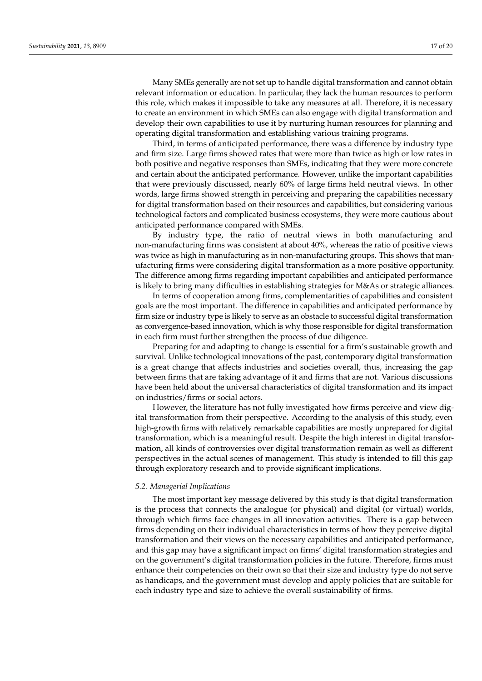Many SMEs generally are not set up to handle digital transformation and cannot obtain relevant information or education. In particular, they lack the human resources to perform this role, which makes it impossible to take any measures at all. Therefore, it is necessary to create an environment in which SMEs can also engage with digital transformation and develop their own capabilities to use it by nurturing human resources for planning and operating digital transformation and establishing various training programs.

Third, in terms of anticipated performance, there was a difference by industry type and firm size. Large firms showed rates that were more than twice as high or low rates in both positive and negative responses than SMEs, indicating that they were more concrete and certain about the anticipated performance. However, unlike the important capabilities that were previously discussed, nearly 60% of large firms held neutral views. In other words, large firms showed strength in perceiving and preparing the capabilities necessary for digital transformation based on their resources and capabilities, but considering various technological factors and complicated business ecosystems, they were more cautious about anticipated performance compared with SMEs.

By industry type, the ratio of neutral views in both manufacturing and non-manufacturing firms was consistent at about 40%, whereas the ratio of positive views was twice as high in manufacturing as in non-manufacturing groups. This shows that manufacturing firms were considering digital transformation as a more positive opportunity. The difference among firms regarding important capabilities and anticipated performance is likely to bring many difficulties in establishing strategies for M&As or strategic alliances.

In terms of cooperation among firms, complementarities of capabilities and consistent goals are the most important. The difference in capabilities and anticipated performance by firm size or industry type is likely to serve as an obstacle to successful digital transformation as convergence-based innovation, which is why those responsible for digital transformation in each firm must further strengthen the process of due diligence.

Preparing for and adapting to change is essential for a firm's sustainable growth and survival. Unlike technological innovations of the past, contemporary digital transformation is a great change that affects industries and societies overall, thus, increasing the gap between firms that are taking advantage of it and firms that are not. Various discussions have been held about the universal characteristics of digital transformation and its impact on industries/firms or social actors.

However, the literature has not fully investigated how firms perceive and view digital transformation from their perspective. According to the analysis of this study, even high-growth firms with relatively remarkable capabilities are mostly unprepared for digital transformation, which is a meaningful result. Despite the high interest in digital transformation, all kinds of controversies over digital transformation remain as well as different perspectives in the actual scenes of management. This study is intended to fill this gap through exploratory research and to provide significant implications.

#### *5.2. Managerial Implications*

The most important key message delivered by this study is that digital transformation is the process that connects the analogue (or physical) and digital (or virtual) worlds, through which firms face changes in all innovation activities. There is a gap between firms depending on their individual characteristics in terms of how they perceive digital transformation and their views on the necessary capabilities and anticipated performance, and this gap may have a significant impact on firms' digital transformation strategies and on the government's digital transformation policies in the future. Therefore, firms must enhance their competencies on their own so that their size and industry type do not serve as handicaps, and the government must develop and apply policies that are suitable for each industry type and size to achieve the overall sustainability of firms.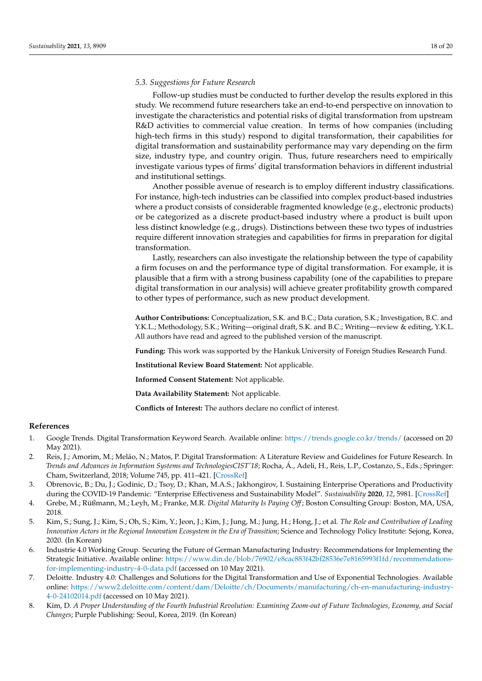## *5.3. Suggestions for Future Research*

Follow-up studies must be conducted to further develop the results explored in this study. We recommend future researchers take an end-to-end perspective on innovation to investigate the characteristics and potential risks of digital transformation from upstream R&D activities to commercial value creation. In terms of how companies (including high-tech firms in this study) respond to digital transformation, their capabilities for digital transformation and sustainability performance may vary depending on the firm size, industry type, and country origin. Thus, future researchers need to empirically investigate various types of firms' digital transformation behaviors in different industrial and institutional settings.

Another possible avenue of research is to employ different industry classifications. For instance, high-tech industries can be classified into complex product-based industries where a product consists of considerable fragmented knowledge (e.g., electronic products) or be categorized as a discrete product-based industry where a product is built upon less distinct knowledge (e.g., drugs). Distinctions between these two types of industries require different innovation strategies and capabilities for firms in preparation for digital transformation.

Lastly, researchers can also investigate the relationship between the type of capability a firm focuses on and the performance type of digital transformation. For example, it is plausible that a firm with a strong business capability (one of the capabilities to prepare digital transformation in our analysis) will achieve greater profitability growth compared to other types of performance, such as new product development.

**Author Contributions:** Conceptualization, S.K. and B.C.; Data curation, S.K.; Investigation, B.C. and Y.K.L.; Methodology, S.K.; Writing—original draft, S.K. and B.C.; Writing—review & editing, Y.K.L. All authors have read and agreed to the published version of the manuscript.

**Funding:** This work was supported by the Hankuk University of Foreign Studies Research Fund.

**Institutional Review Board Statement:** Not applicable.

**Informed Consent Statement:** Not applicable.

**Data Availability Statement:** Not applicable.

**Conflicts of Interest:** The authors declare no conflict of interest.

#### **References**

- <span id="page-17-0"></span>1. Google Trends. Digital Transformation Keyword Search. Available online: <https://trends.google.co.kr/trends/> (accessed on 20 May 2021).
- <span id="page-17-1"></span>2. Reis, J.; Amorim, M.; Melão, N.; Matos, P. Digital Transformation: A Literature Review and Guidelines for Future Research. In *Trends and Advances in Information Systems and TechnologiesCIST'18*; Rocha, Á., Adeli, H., Reis, L.P., Costanzo, S., Eds.; Springer: Cham, Switzerland, 2018; Volume 745, pp. 411–421. [\[CrossRef\]](http://doi.org/10.1007/978-3-319-77703-0_41)
- <span id="page-17-2"></span>3. Obrenovic, B.; Du, J.; Godinic, D.; Tsoy, D.; Khan, M.A.S.; Jakhongirov, I. Sustaining Enterprise Operations and Productivity during the COVID-19 Pandemic: "Enterprise Effectiveness and Sustainability Model". *Sustainability* **2020**, *12*, 5981. [\[CrossRef\]](http://doi.org/10.3390/su12155981)
- <span id="page-17-3"></span>4. Grebe, M.; Rüßmann, M.; Leyh, M.; Franke, M.R. *Digital Maturity Is Paying Off*; Boston Consulting Group: Boston, MA, USA, 2018.
- <span id="page-17-4"></span>5. Kim, S.; Sung, J.; Kim, S.; Oh, S.; Kim, Y.; Jeon, J.; Kim, J.; Jung, M.; Jung, H.; Hong, J.; et al. *The Role and Contribution of Leading Innovation Actors in the Regional Innovation Ecosystem in the Era of Transition; Science and Technology Policy Institute: Sejong, Korea,* 2020. (In Korean)
- <span id="page-17-5"></span>6. Industrie 4.0 Working Group. Securing the Future of German Manufacturing Industry: Recommendations for Implementing the Strategic Initiative. Available online: [https://www.din.de/blob/76902/e8cac883f42bf28536e7e8165993f1fd/recommendations](https://www.din.de/blob/76902/e8cac883f42bf28536e7e8165993f1fd/recommendations-for-implementing-industry-4-0-data.pdf)[for-implementing-industry-4-0-data.pdf](https://www.din.de/blob/76902/e8cac883f42bf28536e7e8165993f1fd/recommendations-for-implementing-industry-4-0-data.pdf) (accessed on 10 May 2021).
- <span id="page-17-6"></span>7. Deloitte. Industry 4.0: Challenges and Solutions for the Digital Transformation and Use of Exponential Technologies. Available online: [https://www2.deloitte.com/content/dam/Deloitte/ch/Documents/manufacturing/ch-en-manufacturing-industry-](https://www2.deloitte.com/content/dam/Deloitte/ch/Documents/manufacturing/ch-en-manufacturing-industry-4-0-24102014.pdf)[4-0-24102014.pdf](https://www2.deloitte.com/content/dam/Deloitte/ch/Documents/manufacturing/ch-en-manufacturing-industry-4-0-24102014.pdf) (accessed on 10 May 2021).
- <span id="page-17-7"></span>8. Kim, D. *A Proper Understanding of the Fourth Industrial Revolution: Examining Zoom-out of Future Technologies, Economy, and Social Changes*; Purple Publishing: Seoul, Korea, 2019. (In Korean)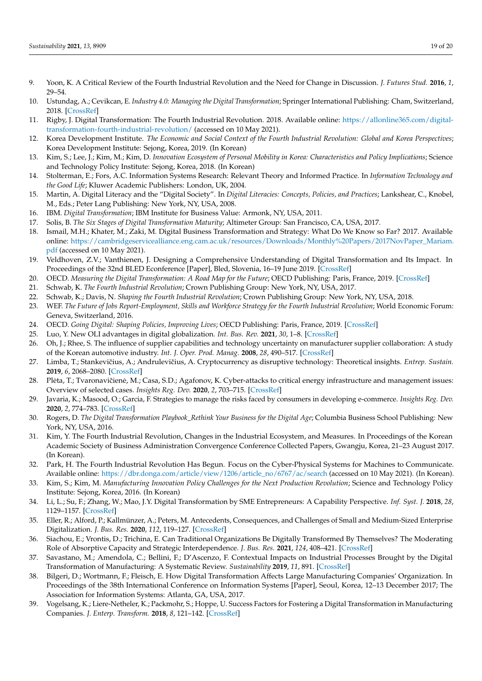- <span id="page-18-0"></span>9. Yoon, K. A Critical Review of the Fourth Industrial Revolution and the Need for Change in Discussion. *J. Futures Stud.* **2016**, *1*, 29–54.
- 10. Ustundag, A.; Cevikcan, E. *Industry 4.0: Managing the Digital Transformation*; Springer International Publishing: Cham, Switzerland, 2018. [\[CrossRef\]](http://doi.org/10.1007/978-3-319-57870-5)
- 11. Rigby, J. Digital Transformation: The Fourth Industrial Revolution. 2018. Available online: [https://allonline365.com/digital](https://allonline365.com/digital-transformation-fourth-industrial-revolution/)[transformation-fourth-industrial-revolution/](https://allonline365.com/digital-transformation-fourth-industrial-revolution/) (accessed on 10 May 2021).
- <span id="page-18-1"></span>12. Korea Development Institute. *The Economic and Social Context of the Fourth Industrial Revolution: Global and Korea Perspectives*; Korea Development Institute: Sejong, Korea, 2019. (In Korean)
- <span id="page-18-2"></span>13. Kim, S.; Lee, J.; Kim, M.; Kim, D. *Innovation Ecosystem of Personal Mobility in Korea: Characteristics and Policy Implications*; Science and Technology Policy Institute: Sejong, Korea, 2018. (In Korean)
- <span id="page-18-3"></span>14. Stolterman, E.; Fors, A.C. Information Systems Research: Relevant Theory and Informed Practice. In *Information Technology and the Good Life*; Kluwer Academic Publishers: London, UK, 2004.
- <span id="page-18-4"></span>15. Martin, A. Digital Literacy and the "Digital Society". In *Digital Literacies: Concepts, Policies, and Practices*; Lankshear, C., Knobel, M., Eds.; Peter Lang Publishing: New York, NY, USA, 2008.
- <span id="page-18-5"></span>16. IBM. *Digital Transformation*; IBM Institute for Business Value: Armonk, NY, USA, 2011.
- <span id="page-18-6"></span>17. Solis, B. *The Six Stages of Digital Transformation Maturity*; Altimeter Group: San Francisco, CA, USA, 2017.
- <span id="page-18-7"></span>18. Ismail, M.H.; Khater, M.; Zaki, M. Digital Business Transformation and Strategy: What Do We Know so Far? 2017. Available online: [https://cambridgeservicealliance.eng.cam.ac.uk/resources/Downloads/Monthly%20Papers/2017NovPaper\\_Mariam.](https://cambridgeservicealliance.eng.cam.ac.uk/resources/Downloads/Monthly%20Papers/2017NovPaper_Mariam.pdf) [pdf](https://cambridgeservicealliance.eng.cam.ac.uk/resources/Downloads/Monthly%20Papers/2017NovPaper_Mariam.pdf) (accessed on 10 May 2021).
- <span id="page-18-8"></span>19. Veldhoven, Z.V.; Vanthienen, J. Designing a Comprehensive Understanding of Digital Transformation and Its Impact. In Proceedings of the 32nd BLED Econference [Paper], Bled, Slovenia, 16–19 June 2019. [\[CrossRef\]](http://doi.org/10.18690/978-961-286-280-0.39)
- <span id="page-18-9"></span>20. OECD. *Measuring the Digital Transformation: A Road Map for the Future; OECD Publishing: Paris, France, 2019.* [\[CrossRef\]](http://doi.org/10.1787/9789264311992-en)
- <span id="page-18-10"></span>21. Schwab, K. *The Fourth Industrial Revolution*; Crown Publishing Group: New York, NY, USA, 2017.
- <span id="page-18-11"></span>22. Schwab, K.; Davis, N. *Shaping the Fourth Industrial Revolution*; Crown Publishing Group: New York, NY, USA, 2018.
- <span id="page-18-12"></span>23. WEF. *The Future of Jobs Report-Employment, Skills and Workforce Strategy for the Fourth Industrial Revolution*; World Economic Forum: Geneva, Switzerland, 2016.
- <span id="page-18-13"></span>24. OECD. *Going Digital: Shaping Policies, Improving Lives*; OECD Publishing: Paris, France, 2019. [\[CrossRef\]](http://doi.org/10.1787/9789264312012-en)
- <span id="page-18-14"></span>25. Luo, Y. New OLI advantages in digital globalization. *Int. Bus. Rev.* **2021**, *30*, 1–8. [\[CrossRef\]](http://doi.org/10.1016/j.ibusrev.2021.101797)
- <span id="page-18-15"></span>26. Oh, J.; Rhee, S. The influence of supplier capabilities and technology uncertainty on manufacturer supplier collaboration: A study of the Korean automotive industry. *Int. J. Oper. Prod. Manag.* **2008**, *28*, 490–517. [\[CrossRef\]](http://doi.org/10.1108/01443570810875331)
- <span id="page-18-16"></span>27. Limba, T.; Stankevičius, A.; Andrulevičius, A. Cryptocurrency as disruptive technology: Theoretical insights. *Entrep. Sustain.* **2019**, *6*, 2068–2080. [\[CrossRef\]](http://doi.org/10.9770/jesi.2019.6.4(36))
- <span id="page-18-17"></span>28. Pleta, T.; Tvaronavičienė, M.; Casa, S.D.; Agafonov, K. Cyber-attacks to critical energy infrastructure and management issues: Overview of selected cases. *Insights Reg. Dev.* **2020**, *2*, 703–715. [\[CrossRef\]](http://doi.org/10.9770/IRD.2020.2.3(7))
- <span id="page-18-18"></span>29. Javaria, K.; Masood, O.; Garcia, F. Strategies to manage the risks faced by consumers in developing e-commerce. *Insights Reg. Dev.* **2020**, *2*, 774–783. [\[CrossRef\]](http://doi.org/10.9770/IRD.2020.2.4(4))
- <span id="page-18-19"></span>30. Rogers, D. *The Digital Transformation Playbook\_Rethink Your Business for the Digital Age*; Columbia Business School Publishing: New York, NY, USA, 2016.
- <span id="page-18-20"></span>31. Kim, Y. The Fourth Industrial Revolution, Changes in the Industrial Ecosystem, and Measures. In Proceedings of the Korean Academic Society of Business Administration Convergence Conference Collected Papers, Gwangju, Korea, 21–23 August 2017. (In Korean).
- <span id="page-18-21"></span>32. Park, H. The Fourth Industrial Revolution Has Begun. Focus on the Cyber-Physical Systems for Machines to Communicate. Available online: [https://dbr.donga.com/article/view/1206/article\\_no/6767/ac/search](https://dbr.donga.com/article/view/1206/article_no/6767/ac/search) (accessed on 10 May 2021). (In Korean).
- <span id="page-18-22"></span>33. Kim, S.; Kim, M. *Manufacturing Innovation Policy Challenges for the Next Production Revolution*; Science and Technology Policy Institute: Sejong, Korea, 2016. (In Korean)
- <span id="page-18-23"></span>34. Li, L.; Su, F.; Zhang, W.; Mao, J.Y. Digital Transformation by SME Entrepreneurs: A Capability Perspective. *Inf. Syst. J.* **2018**, *28*, 1129–1157. [\[CrossRef\]](http://doi.org/10.1111/isj.12153)
- 35. Eller, R.; Alford, P.; Kallmünzer, A.; Peters, M. Antecedents, Consequences, and Challenges of Small and Medium-Sized Enterprise Digitalization. *J. Bus. Res.* **2020**, *112*, 119–127. [\[CrossRef\]](http://doi.org/10.1016/j.jbusres.2020.03.004)
- <span id="page-18-24"></span>36. Siachou, E.; Vrontis, D.; Trichina, E. Can Traditional Organizations Be Digitally Transformed By Themselves? The Moderating Role of Absorptive Capacity and Strategic Interdependence. *J. Bus. Res.* **2021**, *124*, 408–421. [\[CrossRef\]](http://doi.org/10.1016/j.jbusres.2020.11.011)
- <span id="page-18-25"></span>37. Savastano, M.; Amendola, C.; Bellini, F.; D'Ascenzo, F. Contextual Impacts on Industrial Processes Brought by the Digital Transformation of Manufacturing: A Systematic Review. *Sustainability* **2019**, *11*, 891. [\[CrossRef\]](http://doi.org/10.3390/su11030891)
- 38. Bilgeri, D.; Wortmann, F.; Fleisch, E. How Digital Transformation Affects Large Manufacturing Companies' Organization. In Proceedings of the 38th International Conference on Information Systems [Paper], Seoul, Korea, 12–13 December 2017; The Association for Information Systems: Atlanta, GA, USA, 2017.
- <span id="page-18-26"></span>39. Vogelsang, K.; Liere-Netheler, K.; Packmohr, S.; Hoppe, U. Success Factors for Fostering a Digital Transformation in Manufacturing Companies. *J. Enterp. Transform.* **2018**, *8*, 121–142. [\[CrossRef\]](http://doi.org/10.1080/19488289.2019.1578839)